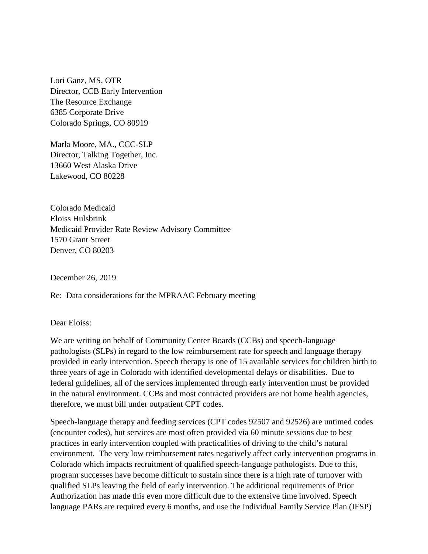Lori Ganz, MS, OTR Director, CCB Early Intervention The Resource Exchange 6385 Corporate Drive Colorado Springs, CO 80919

Marla Moore, MA., CCC-SLP Director, Talking Together, Inc. 13660 West Alaska Drive Lakewood, CO 80228

Colorado Medicaid Eloiss Hulsbrink Medicaid Provider Rate Review Advisory Committee 1570 Grant Street Denver, CO 80203

December 26, 2019

Re: Data considerations for the MPRAAC February meeting

Dear Eloiss:

We are writing on behalf of Community Center Boards (CCBs) and speech-language pathologists (SLPs) in regard to the low reimbursement rate for speech and language therapy provided in early intervention. Speech therapy is one of 15 available services for children birth to three years of age in Colorado with identified developmental delays or disabilities. Due to federal guidelines, all of the services implemented through early intervention must be provided in the natural environment. CCBs and most contracted providers are not home health agencies, therefore, we must bill under outpatient CPT codes.

Speech-language therapy and feeding services (CPT codes 92507 and 92526) are untimed codes (encounter codes), but services are most often provided via 60 minute sessions due to best practices in early intervention coupled with practicalities of driving to the child's natural environment. The very low reimbursement rates negatively affect early intervention programs in Colorado which impacts recruitment of qualified speech-language pathologists. Due to this, program successes have become difficult to sustain since there is a high rate of turnover with qualified SLPs leaving the field of early intervention. The additional requirements of Prior Authorization has made this even more difficult due to the extensive time involved. Speech language PARs are required every 6 months, and use the Individual Family Service Plan (IFSP)